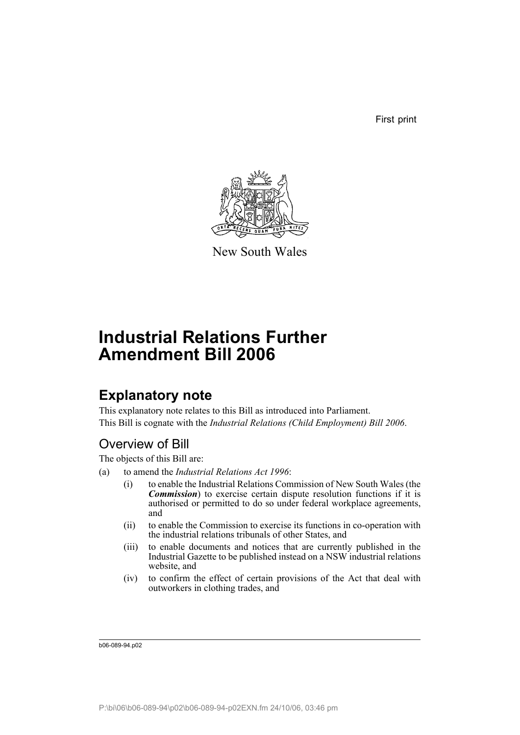First print



New South Wales

# **Industrial Relations Further Amendment Bill 2006**

# **Explanatory note**

This explanatory note relates to this Bill as introduced into Parliament. This Bill is cognate with the *Industrial Relations (Child Employment) Bill 2006*.

# Overview of Bill

The objects of this Bill are:

(a) to amend the *Industrial Relations Act 1996*:

- (i) to enable the Industrial Relations Commission of New South Wales (the *Commission*) to exercise certain dispute resolution functions if it is authorised or permitted to do so under federal workplace agreements, and
- (ii) to enable the Commission to exercise its functions in co-operation with the industrial relations tribunals of other States, and
- (iii) to enable documents and notices that are currently published in the Industrial Gazette to be published instead on a NSW industrial relations website, and
- (iv) to confirm the effect of certain provisions of the Act that deal with outworkers in clothing trades, and

b06-089-94.p02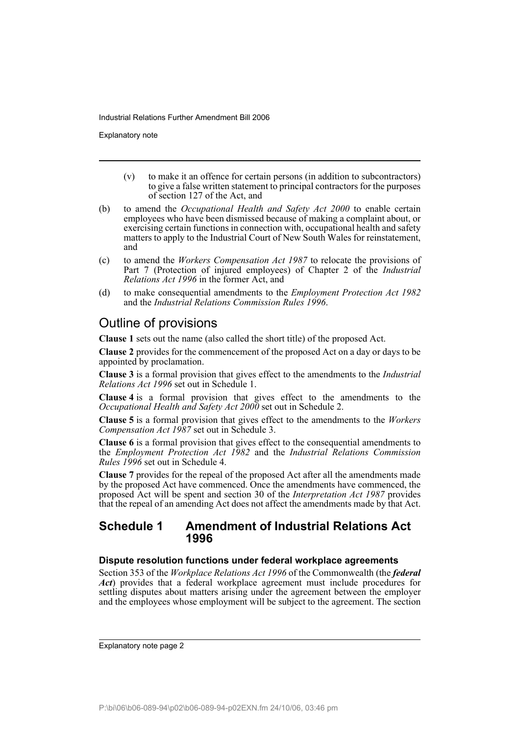Explanatory note

- (v) to make it an offence for certain persons (in addition to subcontractors) to give a false written statement to principal contractors for the purposes of section 127 of the Act, and
- (b) to amend the *Occupational Health and Safety Act 2000* to enable certain employees who have been dismissed because of making a complaint about, or exercising certain functions in connection with, occupational health and safety matters to apply to the Industrial Court of New South Wales for reinstatement, and
- (c) to amend the *Workers Compensation Act 1987* to relocate the provisions of Part 7 (Protection of injured employees) of Chapter 2 of the *Industrial Relations Act 1996* in the former Act, and
- (d) to make consequential amendments to the *Employment Protection Act 1982* and the *Industrial Relations Commission Rules 1996*.

# Outline of provisions

**Clause 1** sets out the name (also called the short title) of the proposed Act.

**Clause 2** provides for the commencement of the proposed Act on a day or days to be appointed by proclamation.

**Clause 3** is a formal provision that gives effect to the amendments to the *Industrial Relations Act 1996* set out in Schedule 1.

**Clause 4** is a formal provision that gives effect to the amendments to the *Occupational Health and Safety Act 2000* set out in Schedule 2.

**Clause 5** is a formal provision that gives effect to the amendments to the *Workers Compensation Act 1987* set out in Schedule 3.

**Clause 6** is a formal provision that gives effect to the consequential amendments to the *Employment Protection Act 1982* and the *Industrial Relations Commission Rules 1996* set out in Schedule 4.

**Clause 7** provides for the repeal of the proposed Act after all the amendments made by the proposed Act have commenced. Once the amendments have commenced, the proposed Act will be spent and section 30 of the *Interpretation Act 1987* provides that the repeal of an amending Act does not affect the amendments made by that Act.

## **Schedule 1 Amendment of Industrial Relations Act 1996**

## **Dispute resolution functions under federal workplace agreements**

Section 353 of the *Workplace Relations Act 1996* of the Commonwealth (the *federal Act*) provides that a federal workplace agreement must include procedures for settling disputes about matters arising under the agreement between the employer and the employees whose employment will be subject to the agreement. The section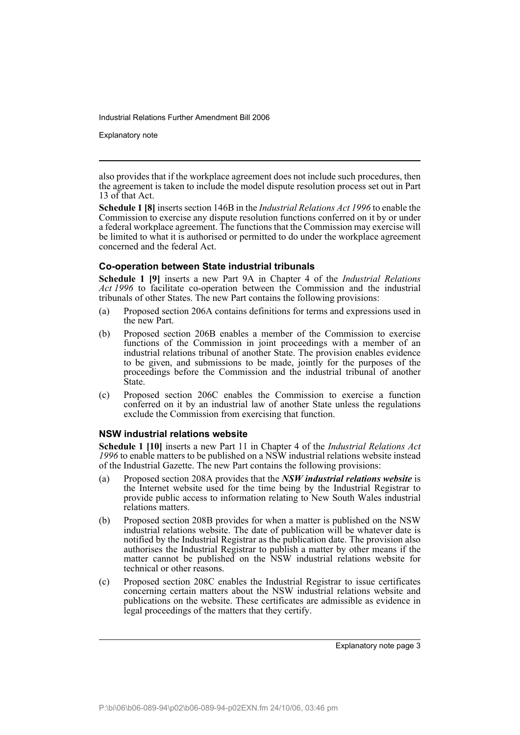Explanatory note

also provides that if the workplace agreement does not include such procedures, then the agreement is taken to include the model dispute resolution process set out in Part 13 of that Act.

**Schedule 1 [8]** inserts section 146B in the *Industrial Relations Act 1996* to enable the Commission to exercise any dispute resolution functions conferred on it by or under a federal workplace agreement. The functions that the Commission may exercise will be limited to what it is authorised or permitted to do under the workplace agreement concerned and the federal Act.

## **Co-operation between State industrial tribunals**

**Schedule 1 [9]** inserts a new Part 9A in Chapter 4 of the *Industrial Relations Act 1996* to facilitate co-operation between the Commission and the industrial tribunals of other States. The new Part contains the following provisions:

- (a) Proposed section 206A contains definitions for terms and expressions used in the new Part.
- (b) Proposed section 206B enables a member of the Commission to exercise functions of the Commission in joint proceedings with a member of an industrial relations tribunal of another State. The provision enables evidence to be given, and submissions to be made, jointly for the purposes of the proceedings before the Commission and the industrial tribunal of another State.
- (c) Proposed section 206C enables the Commission to exercise a function conferred on it by an industrial law of another State unless the regulations exclude the Commission from exercising that function.

### **NSW industrial relations website**

**Schedule 1 [10]** inserts a new Part 11 in Chapter 4 of the *Industrial Relations Act 1996* to enable matters to be published on a NSW industrial relations website instead of the Industrial Gazette. The new Part contains the following provisions:

- (a) Proposed section 208A provides that the *NSW industrial relations website* is the Internet website used for the time being by the Industrial Registrar to provide public access to information relating to New South Wales industrial relations matters.
- (b) Proposed section 208B provides for when a matter is published on the NSW industrial relations website. The date of publication will be whatever date is notified by the Industrial Registrar as the publication date. The provision also authorises the Industrial Registrar to publish a matter by other means if the matter cannot be published on the NSW industrial relations website for technical or other reasons.
- (c) Proposed section 208C enables the Industrial Registrar to issue certificates concerning certain matters about the NSW industrial relations website and publications on the website. These certificates are admissible as evidence in legal proceedings of the matters that they certify.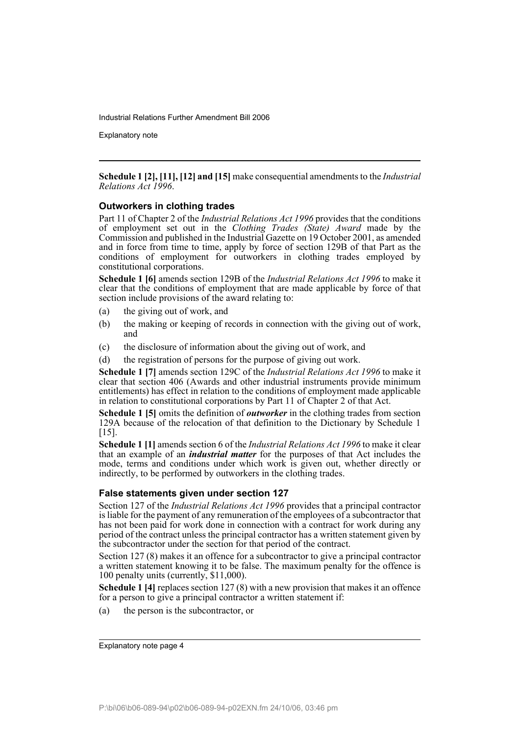Explanatory note

**Schedule 1 [2], [11], [12] and [15]** make consequential amendments to the *Industrial Relations Act 1996*.

### **Outworkers in clothing trades**

Part 11 of Chapter 2 of the *Industrial Relations Act 1996* provides that the conditions of employment set out in the *Clothing Trades (State) Award* made by the Commission and published in the Industrial Gazette on 19 October 2001, as amended and in force from time to time, apply by force of section 129B of that Part as the conditions of employment for outworkers in clothing trades employed by constitutional corporations.

**Schedule 1 [6]** amends section 129B of the *Industrial Relations Act 1996* to make it clear that the conditions of employment that are made applicable by force of that section include provisions of the award relating to:

- (a) the giving out of work, and
- (b) the making or keeping of records in connection with the giving out of work, and
- (c) the disclosure of information about the giving out of work, and
- (d) the registration of persons for the purpose of giving out work.

**Schedule 1 [7]** amends section 129C of the *Industrial Relations Act 1996* to make it clear that section 406 (Awards and other industrial instruments provide minimum entitlements) has effect in relation to the conditions of employment made applicable in relation to constitutional corporations by Part 11 of Chapter 2 of that Act.

**Schedule 1 [5]** omits the definition of *outworker* in the clothing trades from section 129A because of the relocation of that definition to the Dictionary by Schedule 1 [15].

**Schedule 1 [1]** amends section 6 of the *Industrial Relations Act 1996* to make it clear that an example of an *industrial matter* for the purposes of that Act includes the mode, terms and conditions under which work is given out, whether directly or indirectly, to be performed by outworkers in the clothing trades.

### **False statements given under section 127**

Section 127 of the *Industrial Relations Act 1996* provides that a principal contractor is liable for the payment of any remuneration of the employees of a subcontractor that has not been paid for work done in connection with a contract for work during any period of the contract unless the principal contractor has a written statement given by the subcontractor under the section for that period of the contract.

Section 127 (8) makes it an offence for a subcontractor to give a principal contractor a written statement knowing it to be false. The maximum penalty for the offence is 100 penalty units (currently, \$11,000).

**Schedule 1 [4]** replaces section 127 (8) with a new provision that makes it an offence for a person to give a principal contractor a written statement if:

(a) the person is the subcontractor, or

Explanatory note page 4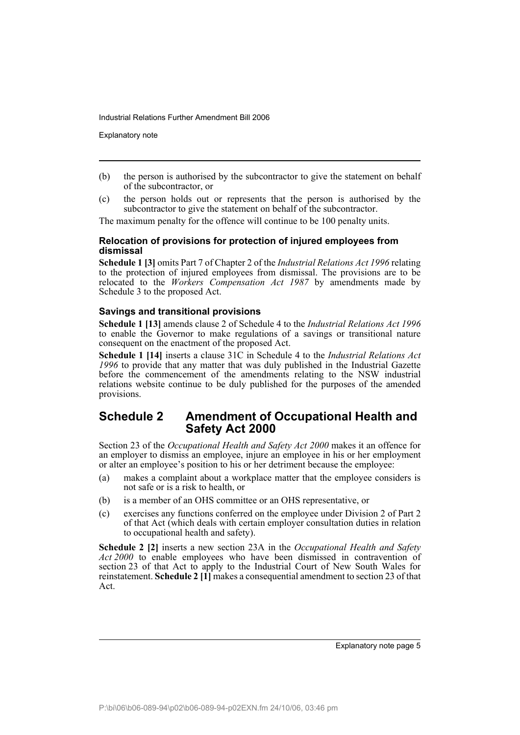Explanatory note

- (b) the person is authorised by the subcontractor to give the statement on behalf of the subcontractor, or
- (c) the person holds out or represents that the person is authorised by the subcontractor to give the statement on behalf of the subcontractor.

The maximum penalty for the offence will continue to be 100 penalty units.

## **Relocation of provisions for protection of injured employees from dismissal**

**Schedule 1 [3]** omits Part 7 of Chapter 2 of the *Industrial Relations Act 1996* relating to the protection of injured employees from dismissal. The provisions are to be relocated to the *Workers Compensation Act 1987* by amendments made by Schedule 3 to the proposed Act.

## **Savings and transitional provisions**

**Schedule 1 [13]** amends clause 2 of Schedule 4 to the *Industrial Relations Act 1996* to enable the Governor to make regulations of a savings or transitional nature consequent on the enactment of the proposed Act.

**Schedule 1 [14]** inserts a clause 31C in Schedule 4 to the *Industrial Relations Act 1996* to provide that any matter that was duly published in the Industrial Gazette before the commencement of the amendments relating to the NSW industrial relations website continue to be duly published for the purposes of the amended provisions.

# **Schedule 2 Amendment of Occupational Health and Safety Act 2000**

Section 23 of the *Occupational Health and Safety Act 2000* makes it an offence for an employer to dismiss an employee, injure an employee in his or her employment or alter an employee's position to his or her detriment because the employee:

- (a) makes a complaint about a workplace matter that the employee considers is not safe or is a risk to health, or
- (b) is a member of an OHS committee or an OHS representative, or
- (c) exercises any functions conferred on the employee under Division 2 of Part 2 of that Act (which deals with certain employer consultation duties in relation to occupational health and safety).

**Schedule 2 [2]** inserts a new section 23A in the *Occupational Health and Safety Act 2000* to enable employees who have been dismissed in contravention of section 23 of that Act to apply to the Industrial Court of New South Wales for reinstatement. **Schedule 2 [1]** makes a consequential amendment to section 23 of that Act.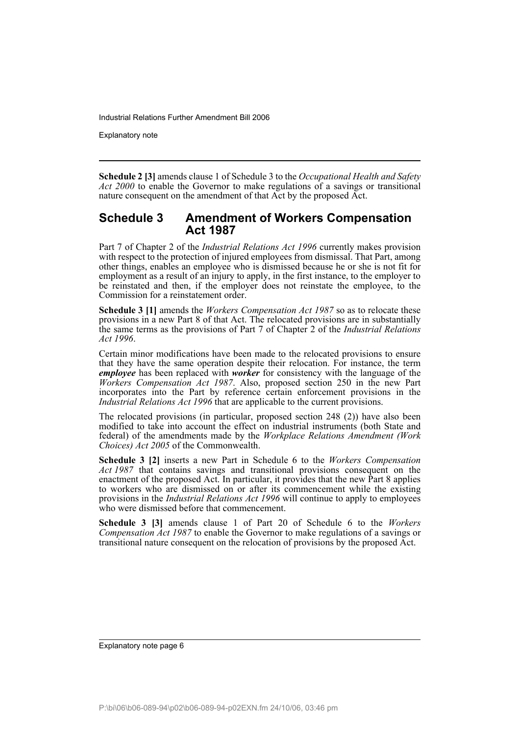Explanatory note

**Schedule 2 [3]** amends clause 1 of Schedule 3 to the *Occupational Health and Safety Act 2000* to enable the Governor to make regulations of a savings or transitional nature consequent on the amendment of that Act by the proposed Act.

## **Schedule 3 Amendment of Workers Compensation Act 1987**

Part 7 of Chapter 2 of the *Industrial Relations Act 1996* currently makes provision with respect to the protection of injured employees from dismissal. That Part, among other things, enables an employee who is dismissed because he or she is not fit for employment as a result of an injury to apply, in the first instance, to the employer to be reinstated and then, if the employer does not reinstate the employee, to the Commission for a reinstatement order.

**Schedule 3 [1]** amends the *Workers Compensation Act 1987* so as to relocate these provisions in a new Part 8 of that Act. The relocated provisions are in substantially the same terms as the provisions of Part 7 of Chapter 2 of the *Industrial Relations Act 1996*.

Certain minor modifications have been made to the relocated provisions to ensure that they have the same operation despite their relocation. For instance, the term *employee* has been replaced with *worker* for consistency with the language of the *Workers Compensation Act 1987*. Also, proposed section 250 in the new Part incorporates into the Part by reference certain enforcement provisions in the *Industrial Relations Act 1996* that are applicable to the current provisions.

The relocated provisions (in particular, proposed section 248 (2)) have also been modified to take into account the effect on industrial instruments (both State and federal) of the amendments made by the *Workplace Relations Amendment (Work Choices) Act 2005* of the Commonwealth.

**Schedule 3 [2]** inserts a new Part in Schedule 6 to the *Workers Compensation Act 1987* that contains savings and transitional provisions consequent on the enactment of the proposed Act. In particular, it provides that the new Part 8 applies to workers who are dismissed on or after its commencement while the existing provisions in the *Industrial Relations Act 1996* will continue to apply to employees who were dismissed before that commencement.

**Schedule 3 [3]** amends clause 1 of Part 20 of Schedule 6 to the *Workers Compensation Act 1987* to enable the Governor to make regulations of a savings or transitional nature consequent on the relocation of provisions by the proposed Act.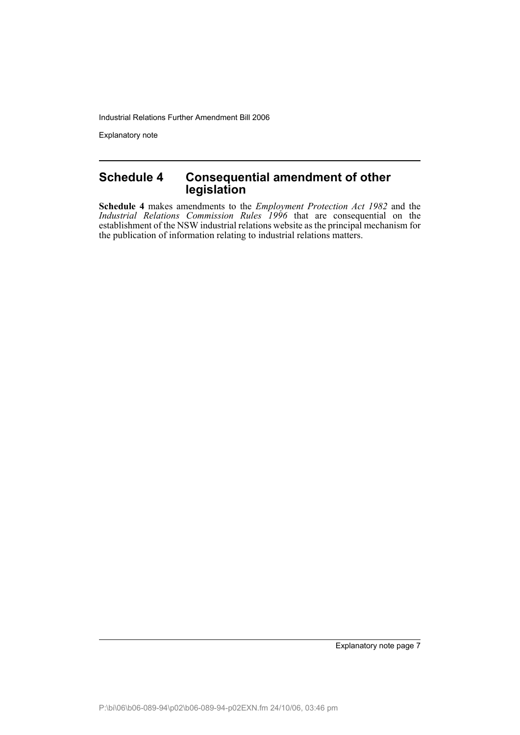Explanatory note

# **Schedule 4 Consequential amendment of other legislation**

**Schedule 4** makes amendments to the *Employment Protection Act 1982* and the *Industrial Relations Commission Rules 1996* that are consequential on the establishment of the NSW industrial relations website as the principal mechanism for the publication of information relating to industrial relations matters.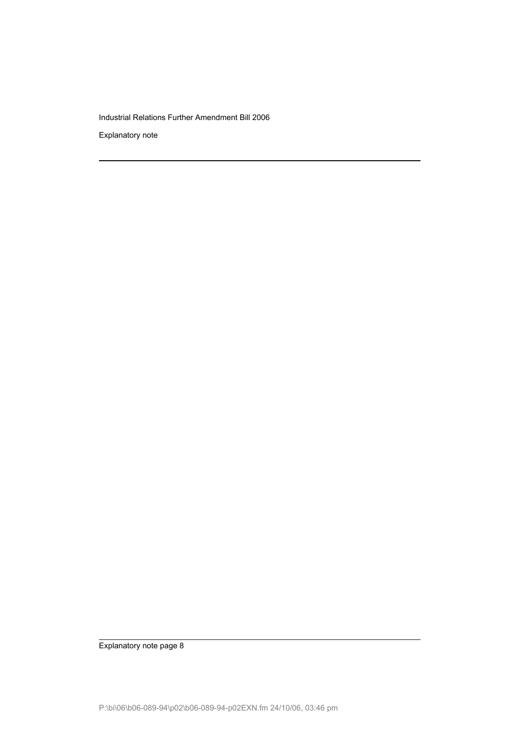Explanatory note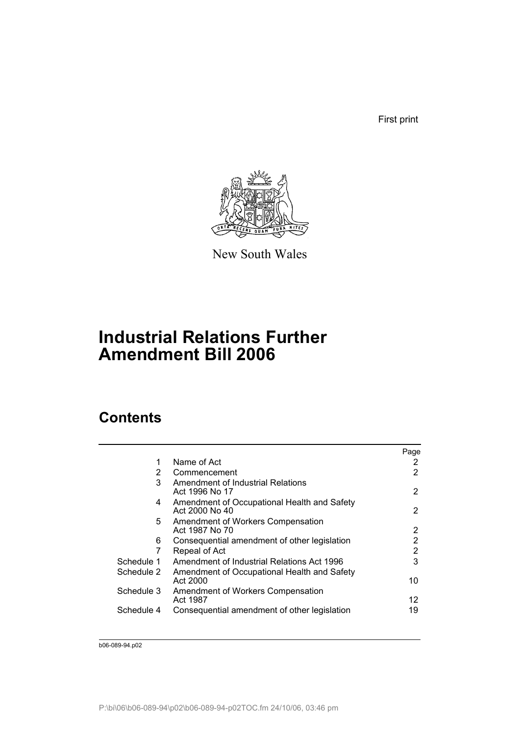First print



New South Wales

# **Industrial Relations Further Amendment Bill 2006**

# **Contents**

|            |                                                               | Page |
|------------|---------------------------------------------------------------|------|
| 1          | Name of Act                                                   | 2    |
| 2          | Commencement                                                  | 2    |
| 3          | <b>Amendment of Industrial Relations</b><br>Act 1996 No 17    | 2    |
| 4          | Amendment of Occupational Health and Safety<br>Act 2000 No 40 | 2    |
| 5.         | Amendment of Workers Compensation<br>Act 1987 No 70           | 2    |
| 6          | Consequential amendment of other legislation                  | 2    |
| 7          | Repeal of Act                                                 | 2    |
| Schedule 1 | Amendment of Industrial Relations Act 1996                    | 3    |
| Schedule 2 | Amendment of Occupational Health and Safety<br>Act 2000       | 10   |
| Schedule 3 | Amendment of Workers Compensation<br>Act 1987                 | 12   |
| Schedule 4 | Consequential amendment of other legislation                  | 19   |
|            |                                                               |      |

b06-089-94.p02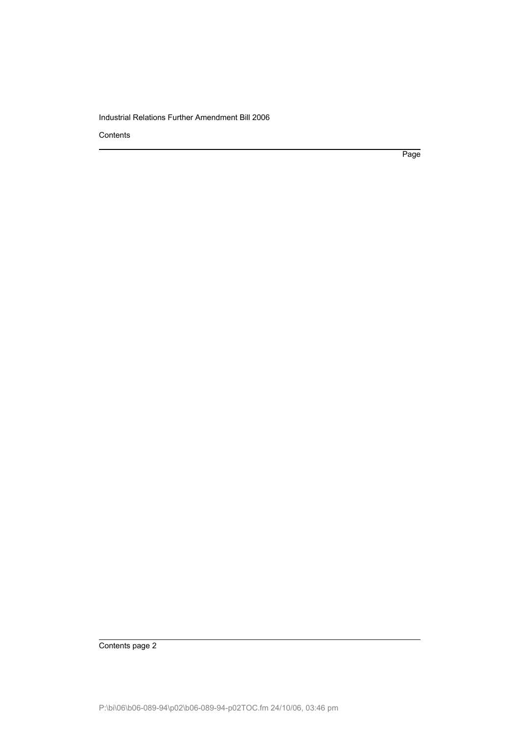**Contents** 

Page

Contents page 2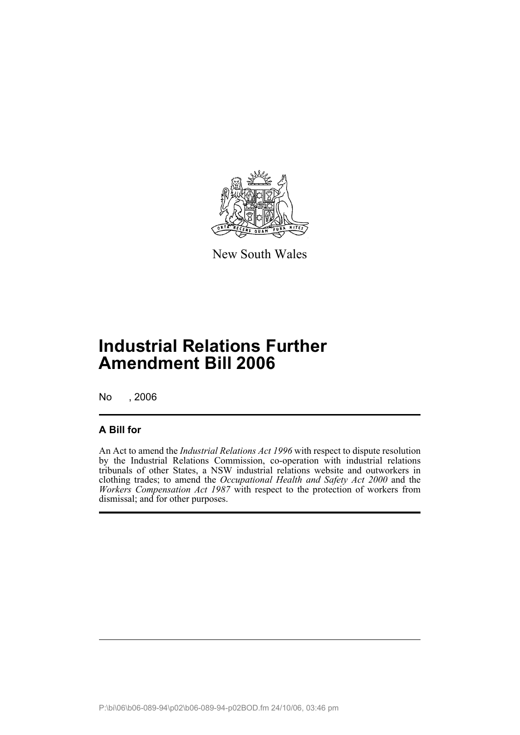

New South Wales

# **Industrial Relations Further Amendment Bill 2006**

No , 2006

# **A Bill for**

An Act to amend the *Industrial Relations Act 1996* with respect to dispute resolution by the Industrial Relations Commission, co-operation with industrial relations tribunals of other States, a NSW industrial relations website and outworkers in clothing trades; to amend the *Occupational Health and Safety Act 2000* and the *Workers Compensation Act 1987* with respect to the protection of workers from dismissal; and for other purposes.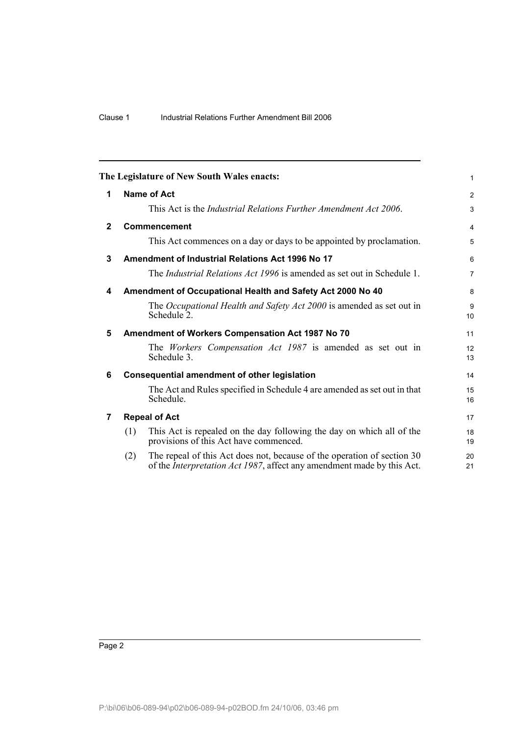<span id="page-11-6"></span><span id="page-11-5"></span><span id="page-11-4"></span><span id="page-11-3"></span><span id="page-11-2"></span><span id="page-11-1"></span><span id="page-11-0"></span>

|                | The Legislature of New South Wales enacts:                                                                                                                       | $\mathbf{1}$   |
|----------------|------------------------------------------------------------------------------------------------------------------------------------------------------------------|----------------|
| 1              | Name of Act                                                                                                                                                      | $\overline{2}$ |
|                | This Act is the <i>Industrial Relations Further Amendment Act 2006</i> .                                                                                         | 3              |
| $\mathbf{2}$   | Commencement                                                                                                                                                     | $\overline{4}$ |
|                | This Act commences on a day or days to be appointed by proclamation.                                                                                             | 5              |
| 3              | Amendment of Industrial Relations Act 1996 No 17                                                                                                                 | 6              |
|                | The <i>Industrial Relations Act 1996</i> is amended as set out in Schedule 1.                                                                                    | $\overline{7}$ |
| 4              | Amendment of Occupational Health and Safety Act 2000 No 40                                                                                                       | 8              |
|                | The <i>Occupational Health and Safety Act 2000</i> is amended as set out in<br>Schedule 2.                                                                       | 9<br>10        |
| 5              | Amendment of Workers Compensation Act 1987 No 70                                                                                                                 | 11             |
|                | The <i>Workers</i> Compensation Act 1987 is amended as set out in<br>Schedule 3.                                                                                 | 12<br>13       |
| 6              | <b>Consequential amendment of other legislation</b>                                                                                                              | 14             |
|                | The Act and Rules specified in Schedule 4 are amended as set out in that<br>Schedule.                                                                            | 15<br>16       |
| $\overline{7}$ | <b>Repeal of Act</b>                                                                                                                                             | 17             |
|                | This Act is repealed on the day following the day on which all of the<br>(1)<br>provisions of this Act have commenced.                                           | 18<br>19       |
|                | The repeal of this Act does not, because of the operation of section 30<br>(2)<br>of the <i>Interpretation Act 1987</i> , affect any amendment made by this Act. | 20<br>21       |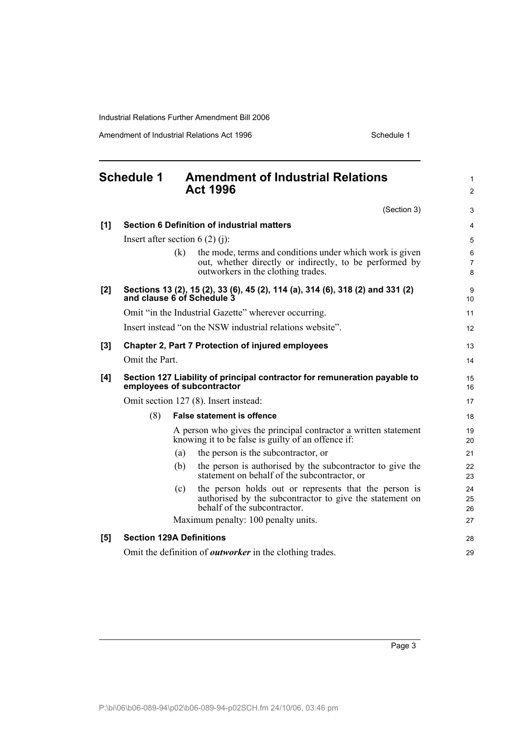Amendment of Industrial Relations Act 1996 Schedule 1

<span id="page-12-0"></span>

|     | <b>Schedule 1</b>                |     | <b>Amendment of Industrial Relations</b><br><b>Act 1996</b>                                                                                               | 1<br>$\overline{c}$ |
|-----|----------------------------------|-----|-----------------------------------------------------------------------------------------------------------------------------------------------------------|---------------------|
|     |                                  |     | (Section 3)                                                                                                                                               | 3                   |
| [1] |                                  |     | <b>Section 6 Definition of industrial matters</b>                                                                                                         | 4                   |
|     | Insert after section $6(2)(i)$ : |     |                                                                                                                                                           | 5                   |
|     |                                  | (k) | the mode, terms and conditions under which work is given<br>out, whether directly or indirectly, to be performed by<br>outworkers in the clothing trades. | 6<br>7<br>8         |
| [2] |                                  |     | Sections 13 (2), 15 (2), 33 (6), 45 (2), 114 (a), 314 (6), 318 (2) and 331 (2)<br>and clause 6 of Schedule 3                                              | 9<br>10             |
|     |                                  |     | Omit "in the Industrial Gazette" wherever occurring.                                                                                                      | 11                  |
|     |                                  |     | Insert instead "on the NSW industrial relations website".                                                                                                 | 12                  |
| [3] |                                  |     | <b>Chapter 2, Part 7 Protection of injured employees</b>                                                                                                  | 13                  |
|     | Omit the Part.                   |     |                                                                                                                                                           | 14                  |
| [4] |                                  |     | Section 127 Liability of principal contractor for remuneration payable to<br>employees of subcontractor                                                   | 15<br>16            |
|     |                                  |     | Omit section 127 (8). Insert instead:                                                                                                                     | 17                  |
|     | (8)                              |     | <b>False statement is offence</b>                                                                                                                         | 18                  |
|     |                                  |     | A person who gives the principal contractor a written statement<br>knowing it to be false is guilty of an offence if:                                     | 19<br>20            |
|     |                                  | (a) | the person is the subcontractor, or                                                                                                                       | 21                  |
|     |                                  | (b) | the person is authorised by the subcontractor to give the<br>statement on behalf of the subcontractor, or                                                 | 22<br>23            |
|     |                                  | (c) | the person holds out or represents that the person is<br>authorised by the subcontractor to give the statement on<br>behalf of the subcontractor.         | 24<br>25<br>26      |
|     |                                  |     | Maximum penalty: 100 penalty units.                                                                                                                       | 27                  |
| [5] | <b>Section 129A Definitions</b>  |     |                                                                                                                                                           | 28                  |
|     |                                  |     | Omit the definition of <i>outworker</i> in the clothing trades.                                                                                           | 29                  |
|     |                                  |     |                                                                                                                                                           |                     |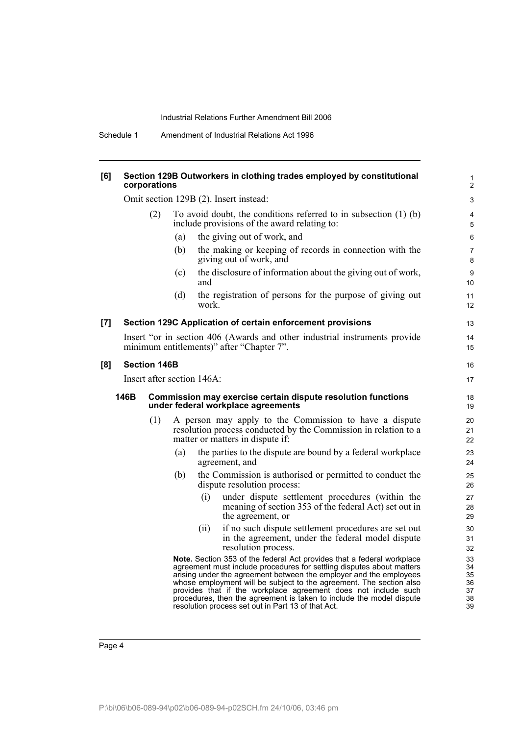| [6] |      | corporations        |     |                            | Section 129B Outworkers in clothing trades employed by constitutional                                                                                                                                                                                                                                                                                                                                                                                                                        | 1<br>2                                 |
|-----|------|---------------------|-----|----------------------------|----------------------------------------------------------------------------------------------------------------------------------------------------------------------------------------------------------------------------------------------------------------------------------------------------------------------------------------------------------------------------------------------------------------------------------------------------------------------------------------------|----------------------------------------|
|     |      |                     |     |                            | Omit section 129B (2). Insert instead:                                                                                                                                                                                                                                                                                                                                                                                                                                                       | 3                                      |
|     |      | (2)                 |     |                            | To avoid doubt, the conditions referred to in subsection $(1)$ $(b)$<br>include provisions of the award relating to:                                                                                                                                                                                                                                                                                                                                                                         | 4<br>5                                 |
|     |      |                     | (a) |                            | the giving out of work, and                                                                                                                                                                                                                                                                                                                                                                                                                                                                  | 6                                      |
|     |      |                     | (b) |                            | the making or keeping of records in connection with the<br>giving out of work, and                                                                                                                                                                                                                                                                                                                                                                                                           | 7<br>8                                 |
|     |      |                     | (c) | and                        | the disclosure of information about the giving out of work,                                                                                                                                                                                                                                                                                                                                                                                                                                  | 9<br>10                                |
|     |      |                     | (d) | work.                      | the registration of persons for the purpose of giving out                                                                                                                                                                                                                                                                                                                                                                                                                                    | 11<br>12                               |
| [7] |      |                     |     |                            | Section 129C Application of certain enforcement provisions                                                                                                                                                                                                                                                                                                                                                                                                                                   | 13                                     |
|     |      |                     |     |                            | Insert "or in section 406 (Awards and other industrial instruments provide<br>minimum entitlements)" after "Chapter 7".                                                                                                                                                                                                                                                                                                                                                                      | 14<br>15                               |
| [8] |      | <b>Section 146B</b> |     |                            |                                                                                                                                                                                                                                                                                                                                                                                                                                                                                              | 16                                     |
|     |      |                     |     | Insert after section 146A: |                                                                                                                                                                                                                                                                                                                                                                                                                                                                                              | 17                                     |
|     | 146B |                     |     |                            | Commission may exercise certain dispute resolution functions<br>under federal workplace agreements                                                                                                                                                                                                                                                                                                                                                                                           | 18<br>19                               |
|     |      | (1)                 |     |                            | A person may apply to the Commission to have a dispute<br>resolution process conducted by the Commission in relation to a<br>matter or matters in dispute if:                                                                                                                                                                                                                                                                                                                                | 20<br>21<br>22                         |
|     |      |                     | (a) |                            | the parties to the dispute are bound by a federal workplace<br>agreement, and                                                                                                                                                                                                                                                                                                                                                                                                                | 23<br>24                               |
|     |      |                     | (b) |                            | the Commission is authorised or permitted to conduct the<br>dispute resolution process:                                                                                                                                                                                                                                                                                                                                                                                                      | 25<br>26                               |
|     |      |                     |     | (i)                        | under dispute settlement procedures (within the<br>meaning of section 353 of the federal Act) set out in<br>the agreement, or                                                                                                                                                                                                                                                                                                                                                                | 27<br>28<br>29                         |
|     |      |                     |     | (ii)                       | if no such dispute settlement procedures are set out<br>in the agreement, under the federal model dispute<br>resolution process.                                                                                                                                                                                                                                                                                                                                                             | 30<br>31<br>32                         |
|     |      |                     |     |                            | Note. Section 353 of the federal Act provides that a federal workplace<br>agreement must include procedures for settling disputes about matters<br>arising under the agreement between the employer and the employees<br>whose employment will be subject to the agreement. The section also<br>provides that if the workplace agreement does not include such<br>procedures, then the agreement is taken to include the model dispute<br>resolution process set out in Part 13 of that Act. | 33<br>34<br>35<br>36<br>37<br>38<br>39 |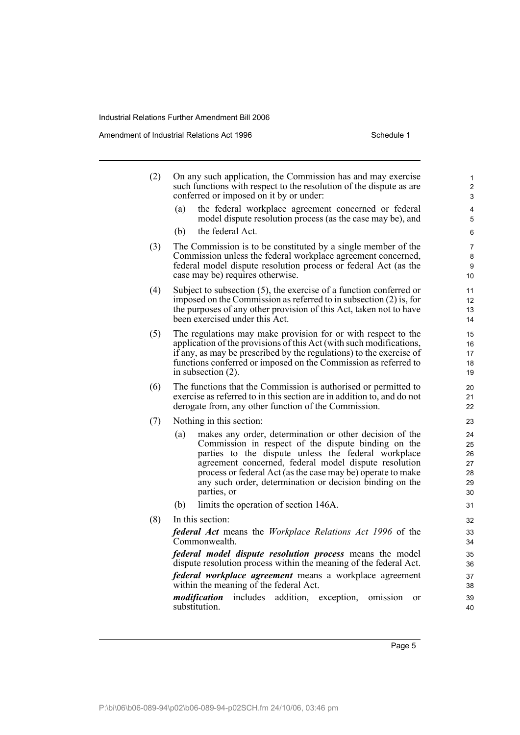Amendment of Industrial Relations Act 1996 Schedule 1

| (2) | On any such application, the Commission has and may exercise<br>such functions with respect to the resolution of the dispute as are<br>conferred or imposed on it by or under:                                                                                                                                                                                                  | 1<br>$\overline{2}$<br>3               |
|-----|---------------------------------------------------------------------------------------------------------------------------------------------------------------------------------------------------------------------------------------------------------------------------------------------------------------------------------------------------------------------------------|----------------------------------------|
|     | the federal workplace agreement concerned or federal<br>(a)<br>model dispute resolution process (as the case may be), and                                                                                                                                                                                                                                                       | 4<br>5                                 |
|     | the federal Act.<br>(b)                                                                                                                                                                                                                                                                                                                                                         | 6                                      |
| (3) | The Commission is to be constituted by a single member of the<br>Commission unless the federal workplace agreement concerned,<br>federal model dispute resolution process or federal Act (as the<br>case may be) requires otherwise.                                                                                                                                            | 7<br>8<br>9<br>10                      |
| (4) | Subject to subsection $(5)$ , the exercise of a function conferred or<br>imposed on the Commission as referred to in subsection $(2)$ is, for<br>the purposes of any other provision of this Act, taken not to have<br>been exercised under this Act.                                                                                                                           | 11<br>12<br>13<br>14                   |
| (5) | The regulations may make provision for or with respect to the<br>application of the provisions of this Act (with such modifications,<br>if any, as may be prescribed by the regulations) to the exercise of<br>functions conferred or imposed on the Commission as referred to<br>in subsection $(2)$ .                                                                         | 15<br>16<br>17<br>18<br>19             |
| (6) | The functions that the Commission is authorised or permitted to<br>exercise as referred to in this section are in addition to, and do not<br>derogate from, any other function of the Commission.                                                                                                                                                                               | 20<br>21<br>22                         |
| (7) | Nothing in this section:                                                                                                                                                                                                                                                                                                                                                        | 23                                     |
|     | makes any order, determination or other decision of the<br>(a)<br>Commission in respect of the dispute binding on the<br>parties to the dispute unless the federal workplace<br>agreement concerned, federal model dispute resolution<br>process or federal Act (as the case may be) operate to make<br>any such order, determination or decision binding on the<br>parties, or | 24<br>25<br>26<br>27<br>28<br>29<br>30 |
|     | limits the operation of section 146A.<br>(b)                                                                                                                                                                                                                                                                                                                                    | 31                                     |
| (8) | In this section:                                                                                                                                                                                                                                                                                                                                                                | 32                                     |
|     | <b>federal Act</b> means the <i>Workplace Relations Act 1996</i> of the<br>Commonwealth.                                                                                                                                                                                                                                                                                        | 33<br>34                               |
|     | federal model dispute resolution process means the model<br>dispute resolution process within the meaning of the federal Act.                                                                                                                                                                                                                                                   | 35<br>36                               |
|     | federal workplace agreement means a workplace agreement<br>within the meaning of the federal Act.                                                                                                                                                                                                                                                                               | 37<br>38                               |
|     | includes<br>addition,<br>modification<br>exception,<br>omission<br><sub>or</sub><br>substitution.                                                                                                                                                                                                                                                                               | 39<br>40                               |
|     |                                                                                                                                                                                                                                                                                                                                                                                 |                                        |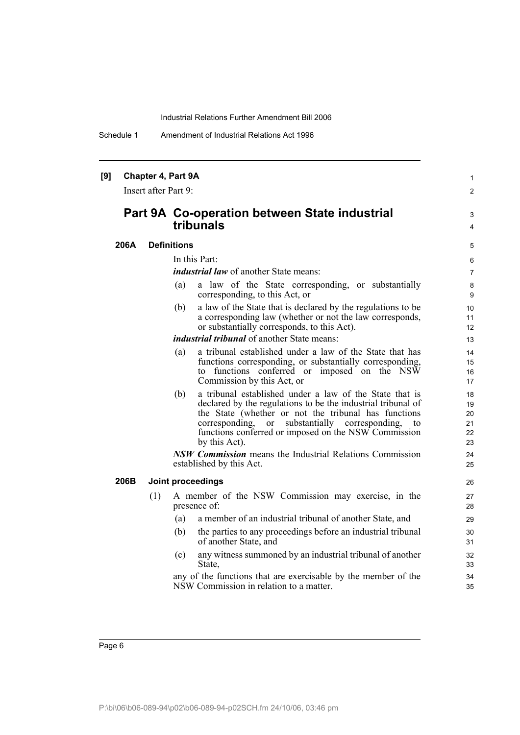Schedule 1 Amendment of Industrial Relations Act 1996

| [9] |                                                            |     | <b>Chapter 4, Part 9A</b>                                                                                                                                                                                                                                                                                                               | $\mathbf{1}$                     |  |  |
|-----|------------------------------------------------------------|-----|-----------------------------------------------------------------------------------------------------------------------------------------------------------------------------------------------------------------------------------------------------------------------------------------------------------------------------------------|----------------------------------|--|--|
|     |                                                            |     | Insert after Part 9:                                                                                                                                                                                                                                                                                                                    | 2                                |  |  |
|     | Part 9A Co-operation between State industrial<br>tribunals |     |                                                                                                                                                                                                                                                                                                                                         |                                  |  |  |
|     | 206A                                                       |     | <b>Definitions</b>                                                                                                                                                                                                                                                                                                                      | 5                                |  |  |
|     |                                                            |     | In this Part:                                                                                                                                                                                                                                                                                                                           | 6                                |  |  |
|     |                                                            |     | <i>industrial law</i> of another State means:                                                                                                                                                                                                                                                                                           | $\overline{7}$                   |  |  |
|     |                                                            |     | a law of the State corresponding, or substantially<br>(a)<br>corresponding, to this Act, or                                                                                                                                                                                                                                             | 8<br>9                           |  |  |
|     |                                                            |     | a law of the State that is declared by the regulations to be<br>(b)<br>a corresponding law (whether or not the law corresponds,<br>or substantially corresponds, to this Act).                                                                                                                                                          | 10<br>11<br>12                   |  |  |
|     |                                                            |     | <i>industrial tribunal</i> of another State means:                                                                                                                                                                                                                                                                                      | 13                               |  |  |
|     |                                                            |     | a tribunal established under a law of the State that has<br>(a)<br>functions corresponding, or substantially corresponding,<br>to functions conferred or imposed on the NSW<br>Commission by this Act, or                                                                                                                               | 14<br>15<br>16<br>17             |  |  |
|     |                                                            |     | a tribunal established under a law of the State that is<br>(b)<br>declared by the regulations to be the industrial tribunal of<br>the State (whether or not the tribunal has functions<br>corresponding,<br>substantially<br>corresponding,<br><b>or</b><br>to<br>functions conferred or imposed on the NSW Commission<br>by this Act). | 18<br>19<br>20<br>21<br>22<br>23 |  |  |
|     |                                                            |     | <b>NSW Commission</b> means the Industrial Relations Commission<br>established by this Act.                                                                                                                                                                                                                                             | 24<br>25                         |  |  |
|     | 206B                                                       |     | Joint proceedings                                                                                                                                                                                                                                                                                                                       | 26                               |  |  |
|     |                                                            | (1) | A member of the NSW Commission may exercise, in the<br>presence of:                                                                                                                                                                                                                                                                     | 27<br>28                         |  |  |
|     |                                                            |     | a member of an industrial tribunal of another State, and<br>(a)                                                                                                                                                                                                                                                                         | 29                               |  |  |
|     |                                                            |     | the parties to any proceedings before an industrial tribunal<br>(b)<br>of another State, and                                                                                                                                                                                                                                            | 30<br>31                         |  |  |
|     |                                                            |     | any witness summoned by an industrial tribunal of another<br>(c)<br>State.                                                                                                                                                                                                                                                              | 32<br>33                         |  |  |
|     |                                                            |     | any of the functions that are exercisable by the member of the<br>NSW Commission in relation to a matter.                                                                                                                                                                                                                               | 34<br>35                         |  |  |
|     |                                                            |     |                                                                                                                                                                                                                                                                                                                                         |                                  |  |  |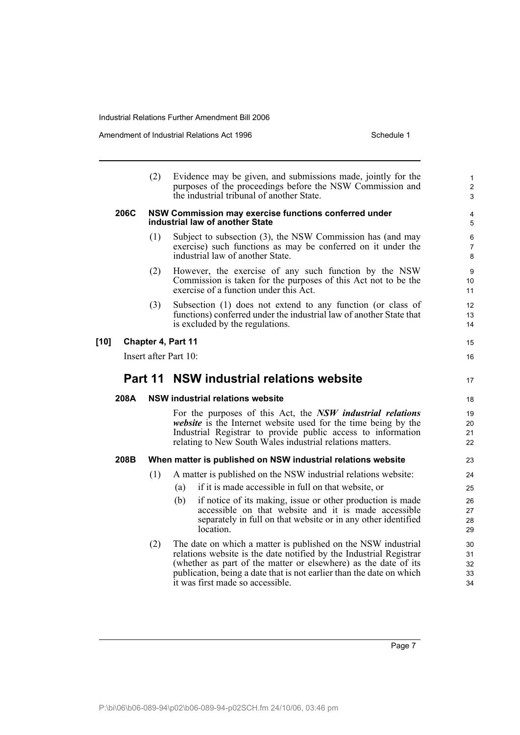Amendment of Industrial Relations Act 1996 Schedule 1

|      | (2) | Evidence may be given, and submissions made, jointly for the<br>purposes of the proceedings before the NSW Commission and<br>the industrial tribunal of another State.                                                                                                                                             | 1<br>$\overline{c}$<br>$\mathfrak{S}$ |
|------|-----|--------------------------------------------------------------------------------------------------------------------------------------------------------------------------------------------------------------------------------------------------------------------------------------------------------------------|---------------------------------------|
| 206C |     | NSW Commission may exercise functions conferred under<br>industrial law of another State                                                                                                                                                                                                                           | $\overline{4}$<br>5                   |
|      | (1) | Subject to subsection (3), the NSW Commission has (and may<br>exercise) such functions as may be conferred on it under the<br>industrial law of another State.                                                                                                                                                     | $\,6\,$<br>$\overline{7}$<br>8        |
|      | (2) | However, the exercise of any such function by the NSW<br>Commission is taken for the purposes of this Act not to be the<br>exercise of a function under this Act.                                                                                                                                                  | 9<br>10<br>11                         |
|      | (3) | Subsection (1) does not extend to any function (or class of<br>functions) conferred under the industrial law of another State that<br>is excluded by the regulations.                                                                                                                                              | 12<br>13<br>14                        |
| [10] |     | Chapter 4, Part 11                                                                                                                                                                                                                                                                                                 | 15                                    |
|      |     | Insert after Part 10:                                                                                                                                                                                                                                                                                              | 16                                    |
|      |     |                                                                                                                                                                                                                                                                                                                    |                                       |
|      |     | Part 11 NSW industrial relations website                                                                                                                                                                                                                                                                           | 17                                    |
| 208A |     | NSW industrial relations website                                                                                                                                                                                                                                                                                   | 18                                    |
|      |     | For the purposes of this Act, the <i>NSW industrial relations</i><br><i>website</i> is the Internet website used for the time being by the<br>Industrial Registrar to provide public access to information<br>relating to New South Wales industrial relations matters.                                            | 19<br>20<br>21<br>22                  |
| 208B |     | When matter is published on NSW industrial relations website                                                                                                                                                                                                                                                       | 23                                    |
|      | (1) | A matter is published on the NSW industrial relations website:                                                                                                                                                                                                                                                     | 24                                    |
|      |     | if it is made accessible in full on that website, or<br>(a)                                                                                                                                                                                                                                                        | 25                                    |
|      |     | if notice of its making, issue or other production is made<br>(b)<br>accessible on that website and it is made accessible<br>separately in full on that website or in any other identified<br>location.                                                                                                            | 26<br>27<br>28<br>29                  |
|      | (2) | The date on which a matter is published on the NSW industrial<br>relations website is the date notified by the Industrial Registrar<br>(whether as part of the matter or elsewhere) as the date of its<br>publication, being a date that is not earlier than the date on which<br>it was first made so accessible. | 30<br>31<br>32<br>33<br>34            |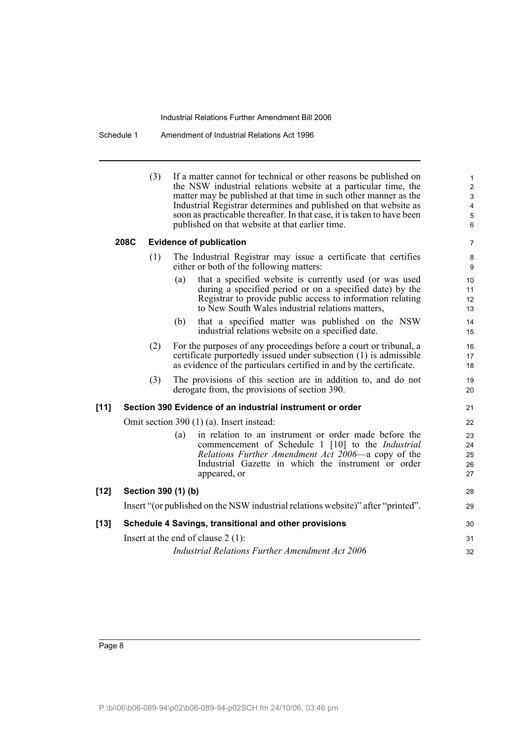Schedule 1 Amendment of Industrial Relations Act 1996

|        | (3)                 | If a matter cannot for technical or other reasons be published on<br>the NSW industrial relations website at a particular time, the<br>matter may be published at that time in such other manner as the<br>Industrial Registrar determines and published on that website as<br>soon as practicable thereafter. In that case, it is taken to have been<br>published on that website at that earlier time. | $\mathbf{1}$<br>$\overline{2}$<br>$\mathsf 3$<br>$\overline{\mathbf{4}}$<br>$\overline{5}$<br>6 |
|--------|---------------------|----------------------------------------------------------------------------------------------------------------------------------------------------------------------------------------------------------------------------------------------------------------------------------------------------------------------------------------------------------------------------------------------------------|-------------------------------------------------------------------------------------------------|
|        | 208C                | <b>Evidence of publication</b>                                                                                                                                                                                                                                                                                                                                                                           | $\overline{7}$                                                                                  |
|        | (1)                 | The Industrial Registrar may issue a certificate that certifies<br>either or both of the following matters:                                                                                                                                                                                                                                                                                              | 8<br>9                                                                                          |
|        |                     | that a specified website is currently used (or was used<br>(a)<br>during a specified period or on a specified date) by the<br>Registrar to provide public access to information relating<br>to New South Wales industrial relations matters,                                                                                                                                                             | 10<br>11<br>12<br>13                                                                            |
|        |                     | that a specified matter was published on the NSW<br>(b)<br>industrial relations website on a specified date.                                                                                                                                                                                                                                                                                             | 14<br>15                                                                                        |
|        | (2)                 | For the purposes of any proceedings before a court or tribunal, a<br>certificate purportedly issued under subsection (1) is admissible<br>as evidence of the particulars certified in and by the certificate.                                                                                                                                                                                            | 16<br>17<br>18                                                                                  |
|        | (3)                 | The provisions of this section are in addition to, and do not<br>derogate from, the provisions of section 390.                                                                                                                                                                                                                                                                                           | 19<br>20                                                                                        |
| $[11]$ |                     | Section 390 Evidence of an industrial instrument or order                                                                                                                                                                                                                                                                                                                                                | 21                                                                                              |
|        |                     | Omit section 390 (1) (a). Insert instead:                                                                                                                                                                                                                                                                                                                                                                | 22                                                                                              |
|        |                     | in relation to an instrument or order made before the<br>(a)<br>commencement of Schedule 1 [10] to the <i>Industrial</i><br>Relations Further Amendment Act 2006—a copy of the<br>Industrial Gazette in which the instrument or order<br>appeared, or                                                                                                                                                    | 23<br>24<br>25<br>26<br>27                                                                      |
| [12]   | Section 390 (1) (b) |                                                                                                                                                                                                                                                                                                                                                                                                          | 28                                                                                              |
|        |                     | Insert "(or published on the NSW industrial relations website)" after "printed".                                                                                                                                                                                                                                                                                                                         | 29                                                                                              |
| [13]   |                     | Schedule 4 Savings, transitional and other provisions                                                                                                                                                                                                                                                                                                                                                    | 30                                                                                              |
|        |                     | Insert at the end of clause $2(1)$ :                                                                                                                                                                                                                                                                                                                                                                     | 31                                                                                              |
|        |                     | <b>Industrial Relations Further Amendment Act 2006</b>                                                                                                                                                                                                                                                                                                                                                   | 32                                                                                              |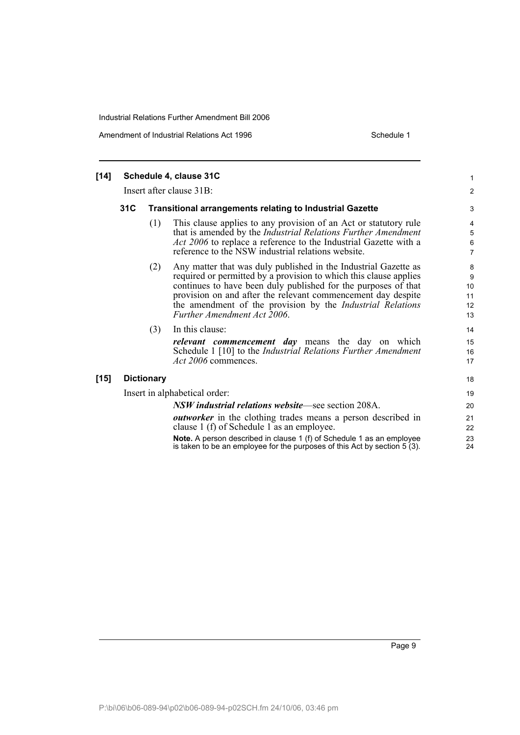Amendment of Industrial Relations Act 1996 Schedule 1

| $[14]$ |                          |                                                                 | Schedule 4, clause 31C                                                                                                                                                                                                                                                                                                                                                            | 1                                                       |  |
|--------|--------------------------|-----------------------------------------------------------------|-----------------------------------------------------------------------------------------------------------------------------------------------------------------------------------------------------------------------------------------------------------------------------------------------------------------------------------------------------------------------------------|---------------------------------------------------------|--|
|        | Insert after clause 31B: |                                                                 |                                                                                                                                                                                                                                                                                                                                                                                   |                                                         |  |
|        | 31C                      | <b>Transitional arrangements relating to Industrial Gazette</b> |                                                                                                                                                                                                                                                                                                                                                                                   |                                                         |  |
|        |                          | (1)                                                             | This clause applies to any provision of an Act or statutory rule<br>that is amended by the <i>Industrial Relations Further Amendment</i><br><i>Act 2006</i> to replace a reference to the Industrial Gazette with a<br>reference to the NSW industrial relations website.                                                                                                         | 4<br>$\overline{5}$<br>$\overline{6}$<br>$\overline{7}$ |  |
|        |                          | (2)                                                             | Any matter that was duly published in the Industrial Gazette as<br>required or permitted by a provision to which this clause applies<br>continues to have been duly published for the purposes of that<br>provision on and after the relevant commencement day despite<br>the amendment of the provision by the <i>Industrial Relations</i><br><b>Further Amendment Act 2006.</b> | 8<br>9<br>10<br>11<br>12<br>13                          |  |
|        |                          | (3)                                                             | In this clause:<br><i>relevant commencement day</i> means the day on which<br>Schedule 1 [10] to the <i>Industrial Relations Further Amendment</i><br>Act 2006 commences.                                                                                                                                                                                                         | 14<br>15<br>16<br>17                                    |  |
| $[15]$ |                          | <b>Dictionary</b>                                               |                                                                                                                                                                                                                                                                                                                                                                                   | 18                                                      |  |
|        |                          |                                                                 | Insert in alphabetical order:                                                                                                                                                                                                                                                                                                                                                     | 19                                                      |  |
|        |                          |                                                                 | <b>NSW</b> industrial relations website—see section 208A.                                                                                                                                                                                                                                                                                                                         | 20                                                      |  |
|        |                          |                                                                 | <i>outworker</i> in the clothing trades means a person described in<br>clause 1 (f) of Schedule 1 as an employee.<br>Note. A person described in clause 1 (f) of Schedule 1 as an employee<br>is taken to be an employee for the purposes of this Act by section 5 (3).                                                                                                           | 21<br>22<br>23<br>24                                    |  |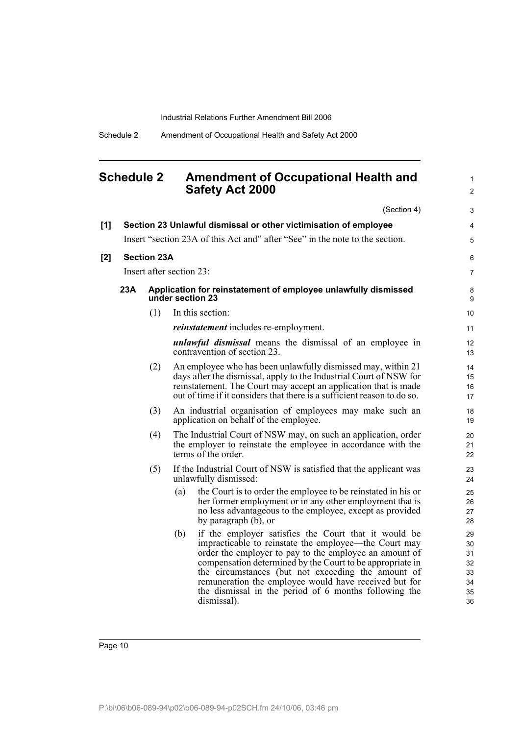# <span id="page-19-0"></span>**Schedule 2 Amendment of Occupational Health and Safety Act 2000**

1  $\mathfrak{p}$ 

(Section 4) **[1] Section 23 Unlawful dismissal or other victimisation of employee**  Insert "section 23A of this Act and" after "See" in the note to the section. **[2] Section 23A** Insert after section 23: **23A Application for reinstatement of employee unlawfully dismissed under section 23** (1) In this section: *reinstatement* includes re-employment. *unlawful dismissal* means the dismissal of an employee in contravention of section 23. (2) An employee who has been unlawfully dismissed may, within 21 days after the dismissal, apply to the Industrial Court of NSW for reinstatement. The Court may accept an application that is made out of time if it considers that there is a sufficient reason to do so. (3) An industrial organisation of employees may make such an application on behalf of the employee. (4) The Industrial Court of NSW may, on such an application, order the employer to reinstate the employee in accordance with the terms of the order. (5) If the Industrial Court of NSW is satisfied that the applicant was unlawfully dismissed: (a) the Court is to order the employee to be reinstated in his or her former employment or in any other employment that is no less advantageous to the employee, except as provided by paragraph (b), or (b) if the employer satisfies the Court that it would be impracticable to reinstate the employee—the Court may order the employer to pay to the employee an amount of compensation determined by the Court to be appropriate in the circumstances (but not exceeding the amount of remuneration the employee would have received but for the dismissal in the period of 6 months following the dismissal). 3 4 5 6 7 8 9 10 11 12 13 14 15 16 17 18 19  $20$ 21 22 23 24 25 26 27 28 29 30 31 32 33 34 35 36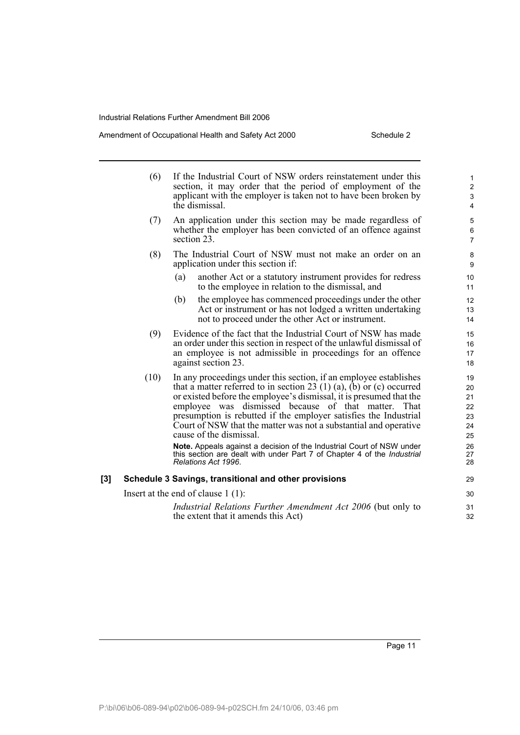## Amendment of Occupational Health and Safety Act 2000 Schedule 2

|     | (6)  | If the Industrial Court of NSW orders reinstatement under this<br>section, it may order that the period of employment of the<br>applicant with the employer is taken not to have been broken by<br>the dismissal.                                                                                                                                                                                                                            | $\mathbf{1}$<br>$\overline{2}$<br>3<br>4 |
|-----|------|----------------------------------------------------------------------------------------------------------------------------------------------------------------------------------------------------------------------------------------------------------------------------------------------------------------------------------------------------------------------------------------------------------------------------------------------|------------------------------------------|
|     | (7)  | An application under this section may be made regardless of<br>whether the employer has been convicted of an offence against<br>section 23.                                                                                                                                                                                                                                                                                                  | 5<br>6<br>$\overline{7}$                 |
|     | (8)  | The Industrial Court of NSW must not make an order on an<br>application under this section if:                                                                                                                                                                                                                                                                                                                                               | 8<br>9                                   |
|     |      | another Act or a statutory instrument provides for redress<br>(a)<br>to the employee in relation to the dismissal, and                                                                                                                                                                                                                                                                                                                       | 10<br>11                                 |
|     |      | the employee has commenced proceedings under the other<br>(b)<br>Act or instrument or has not lodged a written undertaking<br>not to proceed under the other Act or instrument.                                                                                                                                                                                                                                                              | 12<br>13<br>14                           |
|     | (9)  | Evidence of the fact that the Industrial Court of NSW has made<br>an order under this section in respect of the unlawful dismissal of<br>an employee is not admissible in proceedings for an offence<br>against section 23.                                                                                                                                                                                                                  | 15<br>16<br>17<br>18                     |
|     | (10) | In any proceedings under this section, if an employee establishes<br>that a matter referred to in section 23 $(1)$ (a), (b) or (c) occurred<br>or existed before the employee's dismissal, it is presumed that the<br>employee was dismissed because of that matter. That<br>presumption is rebutted if the employer satisfies the Industrial<br>Court of NSW that the matter was not a substantial and operative<br>cause of the dismissal. | 19<br>20<br>21<br>22<br>23<br>24<br>25   |
|     |      | Note. Appeals against a decision of the Industrial Court of NSW under<br>this section are dealt with under Part 7 of Chapter 4 of the Industrial<br>Relations Act 1996.                                                                                                                                                                                                                                                                      | 26<br>27<br>28                           |
| [3] |      | Schedule 3 Savings, transitional and other provisions                                                                                                                                                                                                                                                                                                                                                                                        | 29                                       |
|     |      | Insert at the end of clause $1(1)$ :                                                                                                                                                                                                                                                                                                                                                                                                         | 30                                       |
|     |      | <i>Industrial Relations Further Amendment Act 2006</i> (but only to<br>the extent that it amends this Act)                                                                                                                                                                                                                                                                                                                                   | 31<br>32                                 |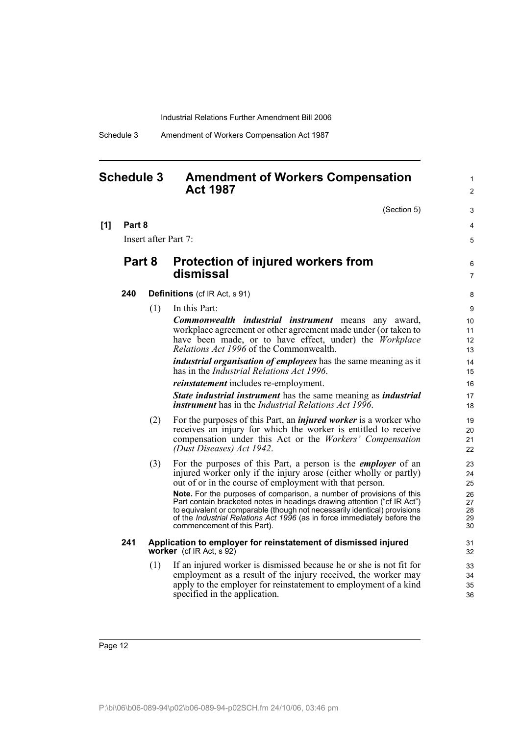## <span id="page-21-0"></span>**Schedule 3 Amendment of Workers Compensation Act 1987**

(Section 5)

3 4

5

6 7

1  $\mathfrak{p}$ 

# **[1] Part 8**

Insert after Part 7:

## **Part 8 Protection of injured workers from dismissal**

- **240 Definitions** (cf IR Act, s 91)
	- (1) In this Part:

*Commonwealth industrial instrument* means any award, workplace agreement or other agreement made under (or taken to have been made, or to have effect, under) the *Workplace Relations Act 1996* of the Commonwealth.

*industrial organisation of employees* has the same meaning as it has in the *Industrial Relations Act 1996*.

*reinstatement* includes re-employment.

*State industrial instrument* has the same meaning as *industrial instrument* has in the *Industrial Relations Act 1996*.

- (2) For the purposes of this Part, an *injured worker* is a worker who receives an injury for which the worker is entitled to receive compensation under this Act or the *Workers' Compensation (Dust Diseases) Act 1942*.
- (3) For the purposes of this Part, a person is the *employer* of an injured worker only if the injury arose (either wholly or partly) out of or in the course of employment with that person.

**Note.** For the purposes of comparison, a number of provisions of this Part contain bracketed notes in headings drawing attention ("cf IR Act") to equivalent or comparable (though not necessarily identical) provisions of the *Industrial Relations Act 1996* (as in force immediately before the commencement of this Part).

#### **241 Application to employer for reinstatement of dismissed injured worker** (cf IR Act, s 92)

(1) If an injured worker is dismissed because he or she is not fit for employment as a result of the injury received, the worker may apply to the employer for reinstatement to employment of a kind specified in the application.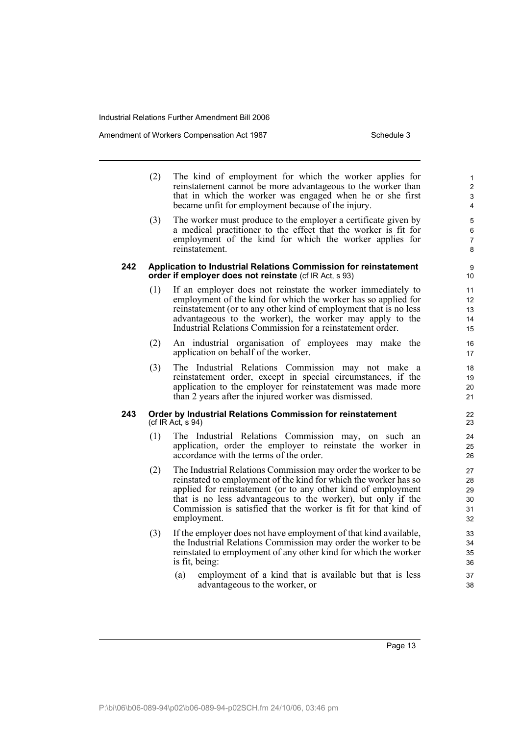Amendment of Workers Compensation Act 1987 Number 2012 1987

- (2) The kind of employment for which the worker applies for reinstatement cannot be more advantageous to the worker than that in which the worker was engaged when he or she first became unfit for employment because of the injury.
- (3) The worker must produce to the employer a certificate given by a medical practitioner to the effect that the worker is fit for employment of the kind for which the worker applies for reinstatement.

#### **242 Application to Industrial Relations Commission for reinstatement order if employer does not reinstate** (cf IR Act, s 93)

- (1) If an employer does not reinstate the worker immediately to employment of the kind for which the worker has so applied for reinstatement (or to any other kind of employment that is no less advantageous to the worker), the worker may apply to the Industrial Relations Commission for a reinstatement order.
- (2) An industrial organisation of employees may make the application on behalf of the worker.
- (3) The Industrial Relations Commission may not make a reinstatement order, except in special circumstances, if the application to the employer for reinstatement was made more than 2 years after the injured worker was dismissed.

#### **243 Order by Industrial Relations Commission for reinstatement**  (cf IR Act, s 94)

- (1) The Industrial Relations Commission may, on such an application, order the employer to reinstate the worker in accordance with the terms of the order.
- (2) The Industrial Relations Commission may order the worker to be reinstated to employment of the kind for which the worker has so applied for reinstatement (or to any other kind of employment that is no less advantageous to the worker), but only if the Commission is satisfied that the worker is fit for that kind of employment.
- (3) If the employer does not have employment of that kind available, the Industrial Relations Commission may order the worker to be reinstated to employment of any other kind for which the worker is fit, being:
	- (a) employment of a kind that is available but that is less advantageous to the worker, or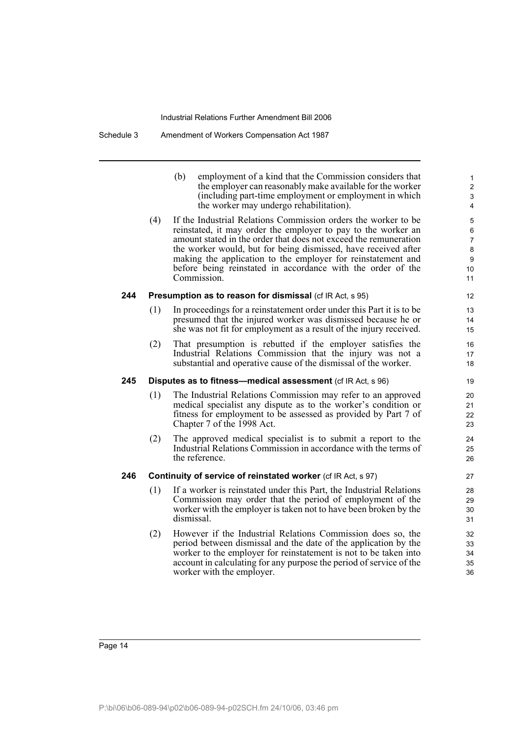| (b) | employment of a kind that the Commission considers that   |
|-----|-----------------------------------------------------------|
|     | the employer can reasonably make available for the worker |
|     | (including part-time employment or employment in which    |
|     | the worker may undergo rehabilitation).                   |
|     |                                                           |

(4) If the Industrial Relations Commission orders the worker to be reinstated, it may order the employer to pay to the worker an amount stated in the order that does not exceed the remuneration the worker would, but for being dismissed, have received after making the application to the employer for reinstatement and before being reinstated in accordance with the order of the Commission.

#### **244 Presumption as to reason for dismissal** (cf IR Act, s 95)

- (1) In proceedings for a reinstatement order under this Part it is to be presumed that the injured worker was dismissed because he or she was not fit for employment as a result of the injury received.
- (2) That presumption is rebutted if the employer satisfies the Industrial Relations Commission that the injury was not a substantial and operative cause of the dismissal of the worker.

#### **245 Disputes as to fitness—medical assessment** (cf IR Act, s 96)

- (1) The Industrial Relations Commission may refer to an approved medical specialist any dispute as to the worker's condition or fitness for employment to be assessed as provided by Part 7 of Chapter 7 of the 1998 Act.
- (2) The approved medical specialist is to submit a report to the Industrial Relations Commission in accordance with the terms of the reference.

### **246 Continuity of service of reinstated worker** (cf IR Act, s 97)

- (1) If a worker is reinstated under this Part, the Industrial Relations Commission may order that the period of employment of the worker with the employer is taken not to have been broken by the dismissal.
- (2) However if the Industrial Relations Commission does so, the period between dismissal and the date of the application by the worker to the employer for reinstatement is not to be taken into account in calculating for any purpose the period of service of the worker with the employer.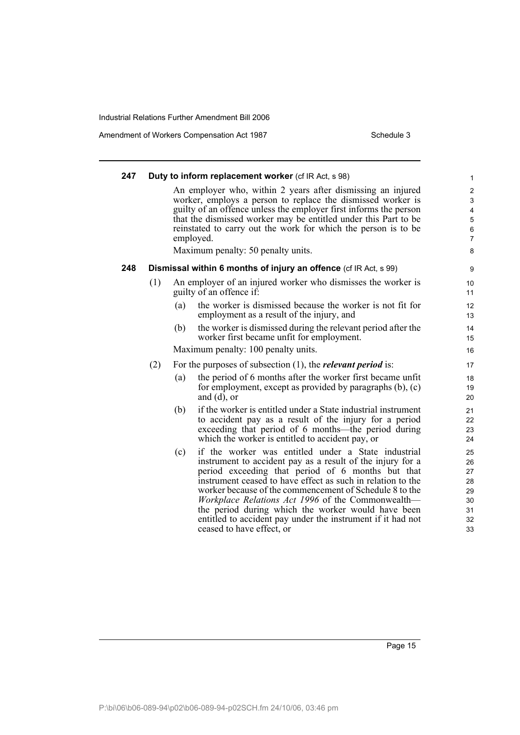Amendment of Workers Compensation Act 1987 Material Contract 2011 Schedule 3

| 247 |     | Duty to inform replacement worker (cf IR Act, s 98)                                                                                                                                                                                                                                                                                                                                                                | $\mathbf{1}$                                                                                  |
|-----|-----|--------------------------------------------------------------------------------------------------------------------------------------------------------------------------------------------------------------------------------------------------------------------------------------------------------------------------------------------------------------------------------------------------------------------|-----------------------------------------------------------------------------------------------|
|     |     | An employer who, within 2 years after dismissing an injured<br>worker, employs a person to replace the dismissed worker is<br>guilty of an offence unless the employer first informs the person<br>that the dismissed worker may be entitled under this Part to be<br>reinstated to carry out the work for which the person is to be<br>employed.                                                                  | $\overline{\mathbf{c}}$<br>3<br>$\overline{\mathbf{4}}$<br>$\mathbf 5$<br>6<br>$\overline{7}$ |
|     |     | Maximum penalty: 50 penalty units.                                                                                                                                                                                                                                                                                                                                                                                 | 8                                                                                             |
| 248 |     | <b>Dismissal within 6 months of injury an offence</b> (cf IR Act, s 99)                                                                                                                                                                                                                                                                                                                                            | 9                                                                                             |
|     | (1) | An employer of an injured worker who dismisses the worker is<br>guilty of an offence if:                                                                                                                                                                                                                                                                                                                           | 10<br>11                                                                                      |
|     |     | the worker is dismissed because the worker is not fit for<br>(a)<br>employment as a result of the injury, and                                                                                                                                                                                                                                                                                                      | 12<br>13                                                                                      |
|     |     | the worker is dismissed during the relevant period after the<br>(b)<br>worker first became unfit for employment.                                                                                                                                                                                                                                                                                                   | 14<br>15                                                                                      |
|     |     | Maximum penalty: 100 penalty units.                                                                                                                                                                                                                                                                                                                                                                                | 16                                                                                            |
|     | (2) | For the purposes of subsection $(1)$ , the <i>relevant period</i> is:                                                                                                                                                                                                                                                                                                                                              | 17                                                                                            |
|     |     | the period of 6 months after the worker first became unfit<br>(a)<br>for employment, except as provided by paragraphs $(b)$ , $(c)$<br>and $(d)$ , or                                                                                                                                                                                                                                                              | 18<br>19<br>20                                                                                |
|     |     | if the worker is entitled under a State industrial instrument<br>(b)<br>to accident pay as a result of the injury for a period<br>exceeding that period of 6 months—the period during<br>which the worker is entitled to accident pay, or                                                                                                                                                                          | 21<br>22<br>23<br>24                                                                          |
|     |     | if the worker was entitled under a State industrial<br>(c)<br>instrument to accident pay as a result of the injury for a<br>period exceeding that period of 6 months but that<br>instrument ceased to have effect as such in relation to the<br>worker because of the commencement of Schedule 8 to the<br>Workplace Relations Act 1996 of the Commonwealth-<br>the period during which the worker would have been | 25<br>26<br>27<br>28<br>29<br>30<br>31                                                        |

entitled to accident pay under the instrument if it had not

32 33

ceased to have effect, or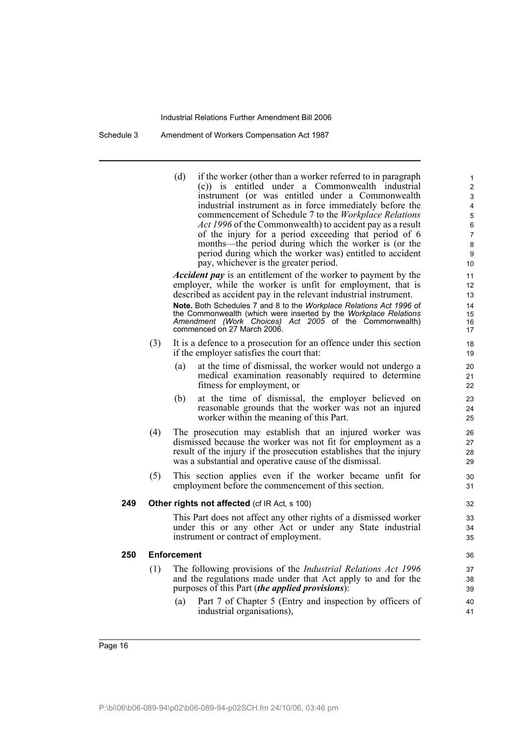#### Schedule 3 Amendment of Workers Compensation Act 1987

(d) if the worker (other than a worker referred to in paragraph (c)) is entitled under a Commonwealth industrial instrument (or was entitled under a Commonwealth industrial instrument as in force immediately before the commencement of Schedule 7 to the *Workplace Relations Act 1996* of the Commonwealth) to accident pay as a result of the injury for a period exceeding that period of 6 months—the period during which the worker is (or the period during which the worker was) entitled to accident pay, whichever is the greater period.

*Accident pay* is an entitlement of the worker to payment by the employer, while the worker is unfit for employment, that is described as accident pay in the relevant industrial instrument. **Note.** Both Schedules 7 and 8 to the *Workplace Relations Act 1996* of

the Commonwealth (which were inserted by the *Workplace Relations Amendment (Work Choices) Act 2005* of the Commonwealth) commenced on 27 March 2006.

- (3) It is a defence to a prosecution for an offence under this section if the employer satisfies the court that:
	- (a) at the time of dismissal, the worker would not undergo a medical examination reasonably required to determine fitness for employment, or
	- (b) at the time of dismissal, the employer believed on reasonable grounds that the worker was not an injured worker within the meaning of this Part.
- (4) The prosecution may establish that an injured worker was dismissed because the worker was not fit for employment as a result of the injury if the prosecution establishes that the injury was a substantial and operative cause of the dismissal.
- (5) This section applies even if the worker became unfit for employment before the commencement of this section.

#### 249 Other rights not affected (cf IR Act, s 100)

This Part does not affect any other rights of a dismissed worker under this or any other Act or under any State industrial instrument or contract of employment.

### **250 Enforcement**

- (1) The following provisions of the *Industrial Relations Act 1996* and the regulations made under that Act apply to and for the purposes of this Part (*the applied provisions*):
	- (a) Part 7 of Chapter 5 (Entry and inspection by officers of industrial organisations),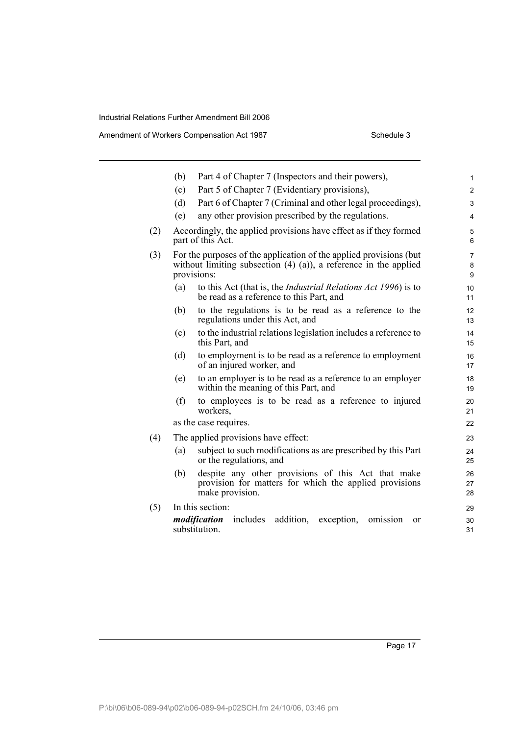Amendment of Workers Compensation Act 1987 Material Schedule 3

|     | (b)                                                                                                                                                        | Part 4 of Chapter 7 (Inspectors and their powers),                                                                              | 1              |  |
|-----|------------------------------------------------------------------------------------------------------------------------------------------------------------|---------------------------------------------------------------------------------------------------------------------------------|----------------|--|
|     | (c)                                                                                                                                                        | Part 5 of Chapter 7 (Evidentiary provisions),                                                                                   | $\overline{c}$ |  |
|     | (d)                                                                                                                                                        | Part 6 of Chapter 7 (Criminal and other legal proceedings),                                                                     | 3              |  |
|     | (e)                                                                                                                                                        | any other provision prescribed by the regulations.                                                                              | 4              |  |
| (2) | Accordingly, the applied provisions have effect as if they formed<br>part of this Act.                                                                     |                                                                                                                                 |                |  |
| (3) | For the purposes of the application of the applied provisions (but<br>without limiting subsection $(4)$ $(a)$ ), a reference in the applied<br>provisions: |                                                                                                                                 |                |  |
|     | (a)                                                                                                                                                        | to this Act (that is, the <i>Industrial Relations Act 1996</i> ) is to<br>be read as a reference to this Part, and              | 10<br>11       |  |
|     | (b)                                                                                                                                                        | to the regulations is to be read as a reference to the<br>regulations under this Act, and                                       | 12<br>13       |  |
|     | (c)                                                                                                                                                        | to the industrial relations legislation includes a reference to<br>this Part, and                                               | 14<br>15       |  |
|     | (d)                                                                                                                                                        | to employment is to be read as a reference to employment<br>of an injured worker, and                                           | 16<br>17       |  |
|     | (e)                                                                                                                                                        | to an employer is to be read as a reference to an employer<br>within the meaning of this Part, and                              | 18<br>19       |  |
|     | (f)                                                                                                                                                        | to employees is to be read as a reference to injured<br>workers.                                                                | 20<br>21       |  |
|     | as the case requires.                                                                                                                                      |                                                                                                                                 |                |  |
| (4) | The applied provisions have effect:                                                                                                                        |                                                                                                                                 |                |  |
|     | (a)                                                                                                                                                        | subject to such modifications as are prescribed by this Part<br>or the regulations, and                                         | 24<br>25       |  |
|     | (b)                                                                                                                                                        | despite any other provisions of this Act that make<br>provision for matters for which the applied provisions<br>make provision. | 26<br>27<br>28 |  |
| (5) | In this section:                                                                                                                                           |                                                                                                                                 |                |  |
|     |                                                                                                                                                            | includes addition,<br>modification<br>omission<br>exception,<br><sub>or</sub><br>substitution.                                  | 30<br>31       |  |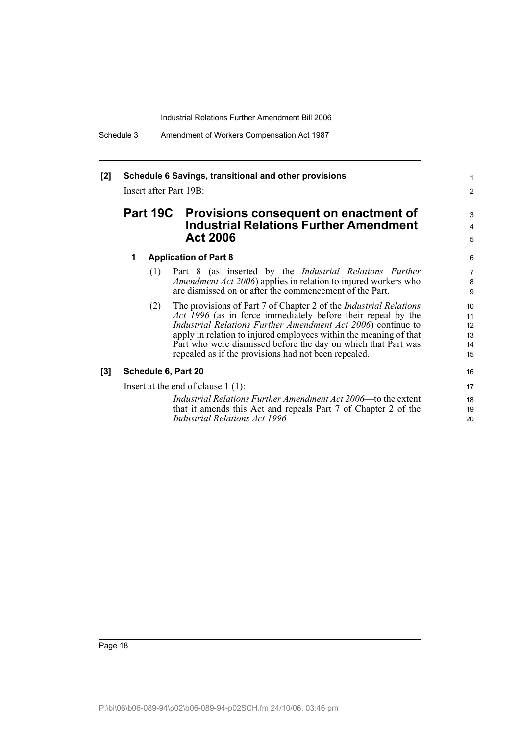# **[2] Schedule 6 Savings, transitional and other provisions**

Insert after Part 19B:

## **Part 19C Provisions consequent on enactment of Industrial Relations Further Amendment Act 2006**

#### **1 Application of Part 8**

(1) Part 8 (as inserted by the *Industrial Relations Further Amendment Act 2006*) applies in relation to injured workers who are dismissed on or after the commencement of the Part.

1 2

3 4 5

(2) The provisions of Part 7 of Chapter 2 of the *Industrial Relations Act 1996* (as in force immediately before their repeal by the *Industrial Relations Further Amendment Act 2006*) continue to apply in relation to injured employees within the meaning of that Part who were dismissed before the day on which that Part was repealed as if the provisions had not been repealed.

### **[3] Schedule 6, Part 20**

Insert at the end of clause 1 (1):

*Industrial Relations Further Amendment Act 2006*—to the extent that it amends this Act and repeals Part 7 of Chapter 2 of the *Industrial Relations Act 1996*

P:\bi\06\b06-089-94\p02\b06-089-94-p02SCH.fm 24/10/06, 03:46 pm